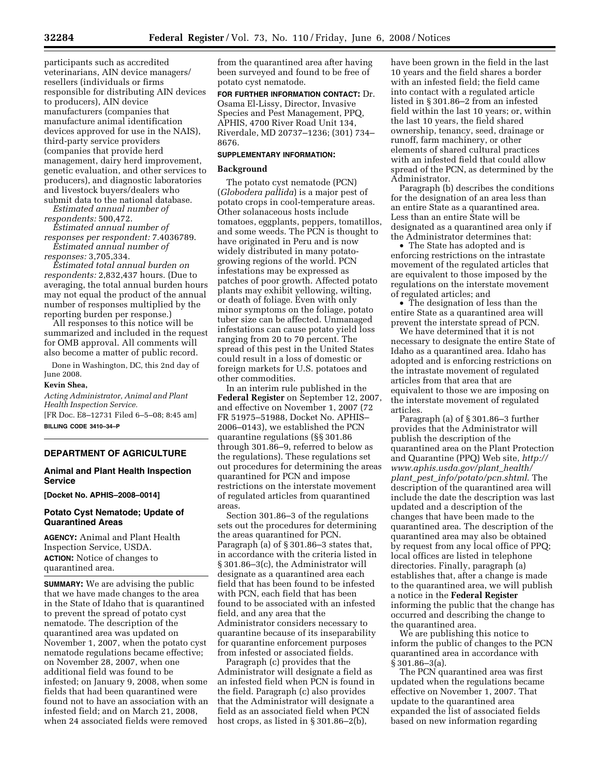participants such as accredited veterinarians, AIN device managers/ resellers (individuals or firms responsible for distributing AIN devices to producers), AIN device manufacturers (companies that manufacture animal identification devices approved for use in the NAIS), third-party service providers (companies that provide herd management, dairy herd improvement, genetic evaluation, and other services to producers), and diagnostic laboratories and livestock buyers/dealers who submit data to the national database.

*Estimated annual number of respondents:* 500,472.

*Estimated annual number of responses per respondent:* 7.4036789. *Estimated annual number of* 

*responses:* 3,705,334.

*Estimated total annual burden on respondents:* 2,832,437 hours. (Due to averaging, the total annual burden hours may not equal the product of the annual number of responses multiplied by the reporting burden per response.)

All responses to this notice will be summarized and included in the request for OMB approval. All comments will also become a matter of public record.

Done in Washington, DC, this 2nd day of June 2008.

#### **Kevin Shea,**

*Acting Administrator, Animal and Plant Health Inspection Service.* 

[FR Doc. E8–12731 Filed 6–5–08; 8:45 am] **BILLING CODE 3410–34–P** 

# **DEPARTMENT OF AGRICULTURE**

#### **Animal and Plant Health Inspection Service**

**[Docket No. APHIS–2008–0014]** 

# **Potato Cyst Nematode; Update of Quarantined Areas**

**AGENCY:** Animal and Plant Health Inspection Service, USDA. **ACTION:** Notice of changes to quarantined area.

**SUMMARY:** We are advising the public that we have made changes to the area in the State of Idaho that is quarantined to prevent the spread of potato cyst nematode. The description of the quarantined area was updated on November 1, 2007, when the potato cyst nematode regulations became effective; on November 28, 2007, when one additional field was found to be infested; on January 9, 2008, when some fields that had been quarantined were found not to have an association with an infested field; and on March 21, 2008, when 24 associated fields were removed

from the quarantined area after having been surveyed and found to be free of potato cyst nematode.

**FOR FURTHER INFORMATION CONTACT:** Dr. Osama El-Lissy, Director, Invasive Species and Pest Management, PPQ, APHIS, 4700 River Road Unit 134, Riverdale, MD 20737–1236; (301) 734– 8676.

### **SUPPLEMENTARY INFORMATION:**

#### **Background**

The potato cyst nematode (PCN) (*Globodera pallida*) is a major pest of potato crops in cool-temperature areas. Other solanaceous hosts include tomatoes, eggplants, peppers, tomatillos, and some weeds. The PCN is thought to have originated in Peru and is now widely distributed in many potatogrowing regions of the world. PCN infestations may be expressed as patches of poor growth. Affected potato plants may exhibit yellowing, wilting, or death of foliage. Even with only minor symptoms on the foliage, potato tuber size can be affected. Unmanaged infestations can cause potato yield loss ranging from 20 to 70 percent. The spread of this pest in the United States could result in a loss of domestic or foreign markets for U.S. potatoes and other commodities.

In an interim rule published in the **Federal Register** on September 12, 2007, and effective on November 1, 2007 (72 FR 51975–51988, Docket No. APHIS– 2006–0143), we established the PCN quarantine regulations (§§ 301.86 through 301.86–9, referred to below as the regulations). These regulations set out procedures for determining the areas quarantined for PCN and impose restrictions on the interstate movement of regulated articles from quarantined areas.

Section 301.86–3 of the regulations sets out the procedures for determining the areas quarantined for PCN. Paragraph (a) of § 301.86–3 states that, in accordance with the criteria listed in § 301.86–3(c), the Administrator will designate as a quarantined area each field that has been found to be infested with PCN, each field that has been found to be associated with an infested field, and any area that the Administrator considers necessary to quarantine because of its inseparability for quarantine enforcement purposes from infested or associated fields.

Paragraph (c) provides that the Administrator will designate a field as an infested field when PCN is found in the field. Paragraph (c) also provides that the Administrator will designate a field as an associated field when PCN host crops, as listed in § 301.86–2(b),

have been grown in the field in the last 10 years and the field shares a border with an infested field; the field came into contact with a regulated article listed in § 301.86–2 from an infested field within the last 10 years; or, within the last 10 years, the field shared ownership, tenancy, seed, drainage or runoff, farm machinery, or other elements of shared cultural practices with an infested field that could allow spread of the PCN, as determined by the Administrator.

Paragraph (b) describes the conditions for the designation of an area less than an entire State as a quarantined area. Less than an entire State will be designated as a quarantined area only if the Administrator determines that:

• The State has adopted and is enforcing restrictions on the intrastate movement of the regulated articles that are equivalent to those imposed by the regulations on the interstate movement of regulated articles; and

• The designation of less than the entire State as a quarantined area will prevent the interstate spread of PCN.

We have determined that it is not necessary to designate the entire State of Idaho as a quarantined area. Idaho has adopted and is enforcing restrictions on the intrastate movement of regulated articles from that area that are equivalent to those we are imposing on the interstate movement of regulated articles.

Paragraph (a) of § 301.86–3 further provides that the Administrator will publish the description of the quarantined area on the Plant Protection and Quarantine (PPQ) Web site, *http:// www.aphis.usda.gov/plant*\_*health/ plant*\_*pest*\_*info/potato/pcn.shtml*. The description of the quarantined area will include the date the description was last updated and a description of the changes that have been made to the quarantined area. The description of the quarantined area may also be obtained by request from any local office of PPQ; local offices are listed in telephone directories. Finally, paragraph (a) establishes that, after a change is made to the quarantined area, we will publish a notice in the **Federal Register**  informing the public that the change has occurred and describing the change to the quarantined area.

We are publishing this notice to inform the public of changes to the PCN quarantined area in accordance with § 301.86–3(a).

The PCN quarantined area was first updated when the regulations became effective on November 1, 2007. That update to the quarantined area expanded the list of associated fields based on new information regarding